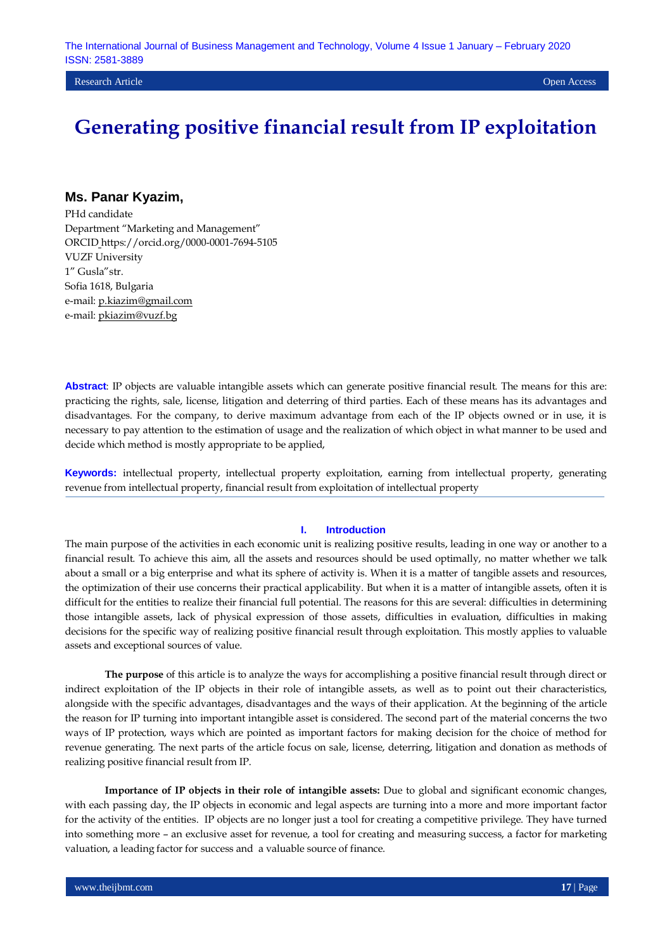Research Article Open Access

# **Generating positive financial result from IP exploitation**

### **Ms. Panar Kyazim,**

PHd candidate Department "Marketing and Management" ORCID https://orcid.org/0000-0001-7694-5105 VUZF University 1" Gusla"str. Sofia 1618, Bulgaria e-mail: [p.kiazim@gmail.com](mailto:p.kiazim@gmail.com) e-mail: [pkiazim@vuzf.bg](mailto:pkiazim@vuzf.bg)

**Abstract**: IP objects are valuable intangible assets which can generate positive financial result. The means for this are: practicing the rights, sale, license, litigation and deterring of third parties. Each of these means has its advantages and disadvantages. For the company, to derive maximum advantage from each of the IP objects owned or in use, it is necessary to pay attention to the estimation of usage and the realization of which object in what manner to be used and decide which method is mostly appropriate to be applied,

**Keywords:** intellectual property, intellectual property exploitation, earning from intellectual property, generating revenue from intellectual property, financial result from exploitation of intellectual property

#### **I. Introduction**

The main purpose of the activities in each economic unit is realizing positive results, leading in one way or another to a financial result. To achieve this aim, all the assets and resources should be used optimally, no matter whether we talk about a small or a big enterprise and what its sphere of activity is. When it is a matter of tangible assets and resources, the optimization of their use concerns their practical applicability. But when it is a matter of intangible assets, often it is difficult for the entities to realize their financial full potential. The reasons for this are several: difficulties in determining those intangible assets, lack of physical expression of those assets, difficulties in evaluation, difficulties in making decisions for the specific way of realizing positive financial result through exploitation. This mostly applies to valuable assets and exceptional sources of value.

**The purpose** of this article is to analyze the ways for accomplishing a positive financial result through direct or indirect exploitation of the IP objects in their role of intangible assets, as well as to point out their characteristics, alongside with the specific advantages, disadvantages and the ways of their application. At the beginning of the article the reason for IP turning into important intangible asset is considered. The second part of the material concerns the two ways of IP protection, ways which are pointed as important factors for making decision for the choice of method for revenue generating. The next parts of the article focus on sale, license, deterring, litigation and donation as methods of realizing positive financial result from IP.

**Importance of IP objects in their role of intangible assets:** Due to global and significant economic changes, with each passing day, the IP objects in economic and legal aspects are turning into a more and more important factor for the activity of the entities. IP objects are no longer just a tool for creating a competitive privilege. They have turned into something more – an exclusive asset for revenue, a tool for creating and measuring success, a factor for marketing valuation, a leading factor for success and a valuable source of finance.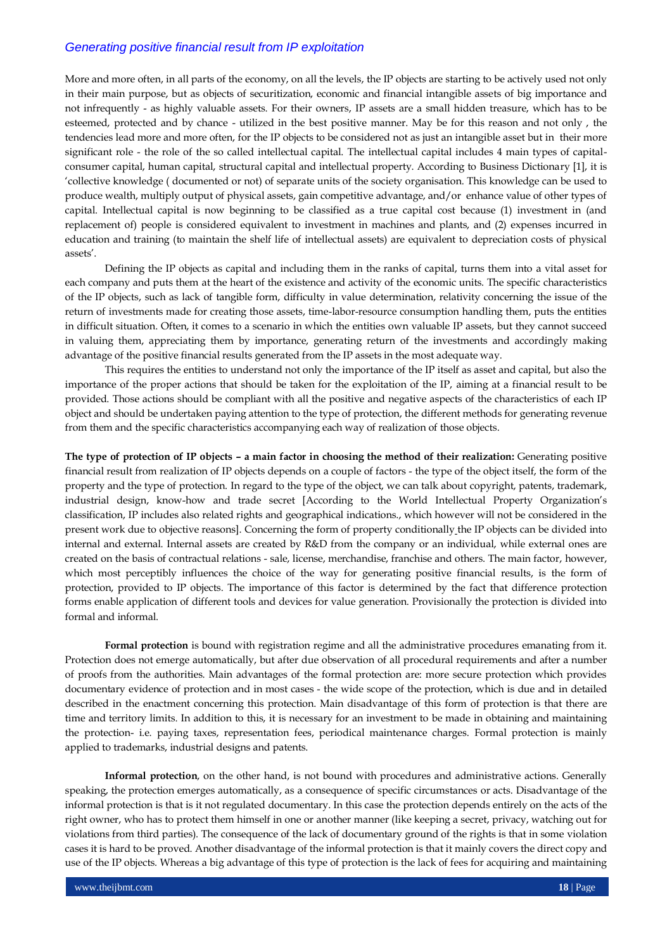More and more often, in all parts of the economy, on all the levels, the IP objects are starting to be actively used not only in their main purpose, but as objects of securitization, economic and financial intangible assets of big importance and not infrequently - as highly valuable assets. For their owners, IP assets are a small hidden treasure, which has to be esteemed, protected and by chance - utilized in the best positive manner. May be for this reason and not only , the tendencies lead more and more often, for the IP objects to be considered not as just an intangible asset but in their more significant role - the role of the so called intellectual capital. The intellectual capital includes 4 main types of capitalconsumer capital, human capital, structural capital and intellectual property. According to Business Dictionary [1], it is "collective knowledge ( documented or not) of separate units of the society organisation. This knowledge can be used to produce wealth, multiply output of physical assets, gain competitive advantage, and/or enhance value of other types of capital. Intellectual capital is now beginning to be classified as a true capital cost because (1) investment in (and replacement of) people is considered equivalent to investment in machines and plants, and (2) expenses incurred in education and training (to maintain the shelf life of intellectual assets) are equivalent to depreciation costs of physical assets'.

Defining the IP objects as capital and including them in the ranks of capital, turns them into a vital asset for each company and puts them at the heart of the existence and activity of the economic units. The specific characteristics of the IP objects, such as lack of tangible form, difficulty in value determination, relativity concerning the issue of the return of investments made for creating those assets, time-labor-resource consumption handling them, puts the entities in difficult situation. Often, it comes to a scenario in which the entities own valuable IP assets, but they cannot succeed in valuing them, appreciating them by importance, generating return of the investments and accordingly making advantage of the positive financial results generated from the IP assets in the most adequate way.

This requires the entities to understand not only the importance of the IP itself as asset and capital, but also the importance of the proper actions that should be taken for the exploitation of the IP, aiming at a financial result to be provided. Those actions should be compliant with all the positive and negative aspects of the characteristics of each IP object and should be undertaken paying attention to the type of protection, the different methods for generating revenue from them and the specific characteristics accompanying each way of realization of those objects.

**The type of protection of IP objects – a main factor in choosing the method of their realization:** Generating positive financial result from realization of IP objects depends on a couple of factors - the type of the object itself, the form of the property and the type of protection. In regard to the type of the object, we can talk about copyright, patents, trademark, industrial design, know-how and trade secret [According to the World Intellectual Property Organization"s classification, IP includes also related rights and geographical indications., which however will not be considered in the present work due to objective reasons]. Concerning the form of property conditionally the IP objects can be divided into internal and external. Internal assets are created by R&D from the company or an individual, while external ones are created on the basis of contractual relations - sale, license, merchandise, franchise and others. The main factor, however, which most perceptibly influences the choice of the way for generating positive financial results, is the form of protection, provided to IP objects. The importance of this factor is determined by the fact that difference protection forms enable application of different tools and devices for value generation. Provisionally the protection is divided into formal and informal.

**Formal protection** is bound with registration regime and all the administrative procedures emanating from it. Protection does not emerge automatically, but after due observation of all procedural requirements and after a number of proofs from the authorities. Main advantages of the formal protection are: more secure protection which provides documentary evidence of protection and in most cases - the wide scope of the protection, which is due and in detailed described in the enactment concerning this protection. Main disadvantage of this form of protection is that there are time and territory limits. In addition to this, it is necessary for an investment to be made in obtaining and maintaining the protection- i.e. paying taxes, representation fees, periodical maintenance charges. Formal protection is mainly applied to trademarks, industrial designs and patents.

**Informal protection**, on the other hand, is not bound with procedures and administrative actions. Generally speaking, the protection emerges automatically, as a consequence of specific circumstances or acts. Disadvantage of the informal protection is that is it not regulated documentary. In this case the protection depends entirely on the acts of the right owner, who has to protect them himself in one or another manner (like keeping a secret, privacy, watching out for violations from third parties). The consequence of the lack of documentary ground of the rights is that in some violation cases it is hard to be proved. Another disadvantage of the informal protection is that it mainly covers the direct copy and use of the IP objects. Whereas a big advantage of this type of protection is the lack of fees for acquiring and maintaining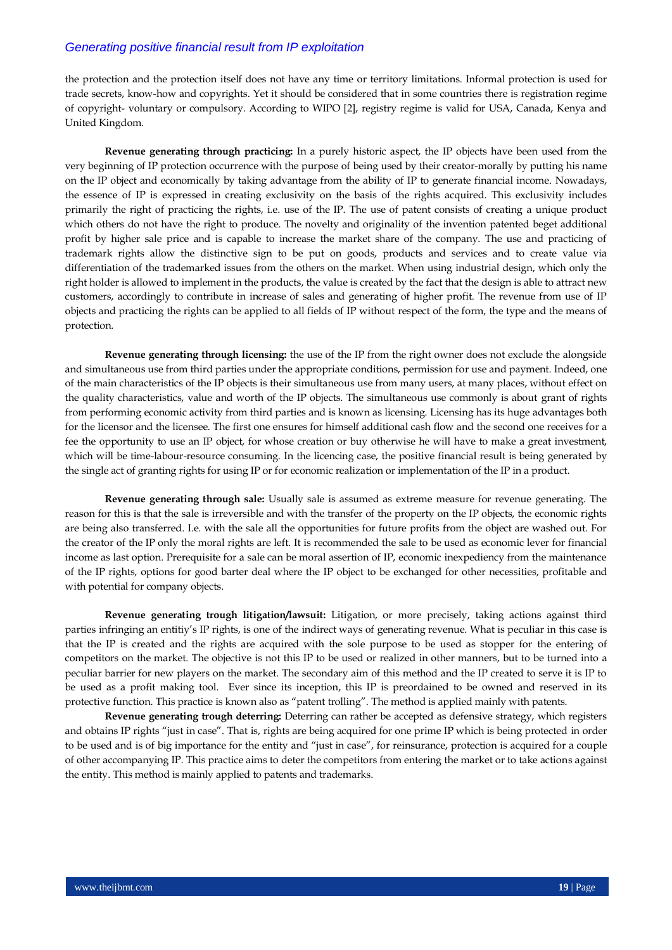the protection and the protection itself does not have any time or territory limitations. Informal protection is used for trade secrets, know-how and copyrights. Yet it should be considered that in some countries there is registration regime of copyright- voluntary or compulsory. According to WIPO [2], registry regime is valid for USA, Canada, Kenya and United Kingdom.

**Revenue generating through practicing:** In a purely historic aspect, the IP objects have been used from the very beginning of IP protection occurrence with the purpose of being used by their creator-morally by putting his name on the IP object and economically by taking advantage from the ability of IP to generate financial income. Nowadays, the essence of IP is expressed in creating exclusivity on the basis of the rights acquired. This exclusivity includes primarily the right of practicing the rights, i.e. use of the IP. The use of patent consists of creating a unique product which others do not have the right to produce. The novelty and originality of the invention patented beget additional profit by higher sale price and is capable to increase the market share of the company. The use and practicing of trademark rights allow the distinctive sign to be put on goods, products and services and to create value via differentiation of the trademarked issues from the others on the market. When using industrial design, which only the right holder is allowed to implement in the products, the value is created by the fact that the design is able to attract new customers, accordingly to contribute in increase of sales and generating of higher profit. The revenue from use of IP objects and practicing the rights can be applied to all fields of IP without respect of the form, the type and the means of protection.

**Revenue generating through licensing:** the use of the IP from the right owner does not exclude the alongside and simultaneous use from third parties under the appropriate conditions, permission for use and payment. Indeed, one of the main characteristics of the IP objects is their simultaneous use from many users, at many places, without effect on the quality characteristics, value and worth of the IP objects. The simultaneous use commonly is about grant of rights from performing economic activity from third parties and is known as licensing. Licensing has its huge advantages both for the licensor and the licensee. The first one ensures for himself additional cash flow and the second one receives for a fee the opportunity to use an IP object, for whose creation or buy otherwise he will have to make a great investment, which will be time-labour-resource consuming. In the licencing case, the positive financial result is being generated by the single act of granting rights for using IP or for economic realization or implementation of the IP in a product.

**Revenue generating through sale:** Usually sale is assumed as extreme measure for revenue generating. The reason for this is that the sale is irreversible and with the transfer of the property on the IP objects, the economic rights are being also transferred. I.e. with the sale all the opportunities for future profits from the object are washed out. For the creator of the IP only the moral rights are left. It is recommended the sale to be used as economic lever for financial income as last option. Prerequisite for a sale can be moral assertion of IP, economic inexpediency from the maintenance of the IP rights, options for good barter deal where the IP object to be exchanged for other necessities, profitable and with potential for company objects.

**Revenue generating trough litigation/lawsuit:** Litigation, or more precisely, taking actions against third parties infringing an entitiy"s IP rights, is one of the indirect ways of generating revenue. What is peculiar in this case is that the IP is created and the rights are acquired with the sole purpose to be used as stopper for the entering of competitors on the market. The objective is not this IP to be used or realized in other manners, but to be turned into a peculiar barrier for new players on the market. The secondary aim of this method and the IP created to serve it is IP to be used as a profit making tool. Ever since its inception, this IP is preordained to be owned and reserved in its protective function. This practice is known also as "patent trolling". The method is applied mainly with patents.

**Revenue generating trough deterring:** Deterring can rather be accepted as defensive strategy, which registers and obtains IP rights "just in case". That is, rights are being acquired for one prime IP which is being protected in order to be used and is of big importance for the entity and "just in case", for reinsurance, protection is acquired for a couple of other accompanying IP. This practice aims to deter the competitors from entering the market or to take actions against the entity. This method is mainly applied to patents and trademarks.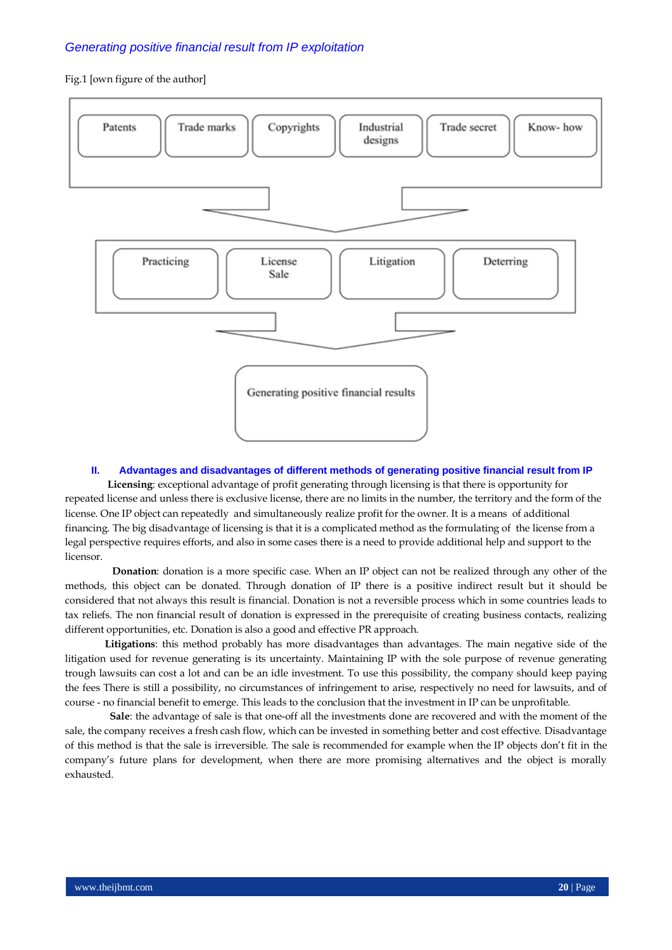#### Fig.1 [own figure of the author]



#### **II. Advantages and disadvantages of different methods of generating positive financial result from IP**

**Licensing**: exceptional advantage of profit generating through licensing is that there is opportunity for repeated license and unless there is exclusive license, there are no limits in the number, the territory and the form of the license. One IP object can repeatedly and simultaneously realize profit for the owner. It is a means of additional financing. The big disadvantage of licensing is that it is a complicated method as the formulating of the license from a legal perspective requires efforts, and also in some cases there is a need to provide additional help and support to the licensor.

 **Donation**: donation is a more specific case. When an IP object can not be realized through any other of the methods, this object can be donated. Through donation of IP there is a positive indirect result but it should be considered that not always this result is financial. Donation is not a reversible process which in some countries leads to tax reliefs. The non financial result of donation is expressed in the prerequisite of creating business contacts, realizing different opportunities, etc. Donation is also a good and effective PR approach.

**Litigations**: this method probably has more disadvantages than advantages. The main negative side of the litigation used for revenue generating is its uncertainty. Maintaining IP with the sole purpose of revenue generating trough lawsuits can cost a lot and can be an idle investment. To use this possibility, the company should keep paying the fees There is still a possibility, no circumstances of infringement to arise, respectively no need for lawsuits, and of course - no financial benefit to emerge. This leads to the conclusion that the investment in IP can be unprofitable.

 **Sale**: the advantage of sale is that one-off all the investments done are recovered and with the moment of the sale, the company receives a fresh cash flow, which can be invested in something better and cost effective. Disadvantage of this method is that the sale is irreversible. The sale is recommended for example when the IP objects don"t fit in the company"s future plans for development, when there are more promising alternatives and the object is morally exhausted.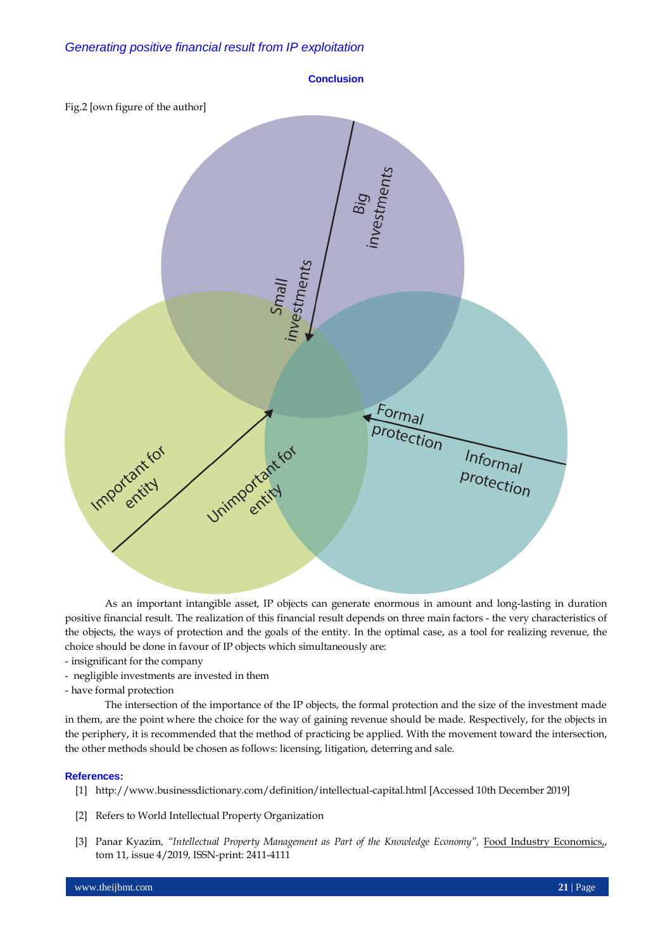

As an important intangible asset, IP objects can generate enormous in amount and long-lasting in duration positive financial result. The realization of this financial result depends on three main factors - the very characteristics of the objects, the ways of protection and the goals of the entity. In the optimal case, as a tool for realizing revenue, the choice should be done in favour of IP objects which simultaneously are:

- insignificant for the company
- negligible investments are invested in them

- have formal protection

The intersection of the importance of the IP objects, the formal protection and the size of the investment made in them, are the point where the choice for the way of gaining revenue should be made. Respectively, for the objects in the periphery, it is recommended that the method of practicing be applied. With the movement toward the intersection, the other methods should be chosen as follows: licensing, litigation, deterring and sale.

#### **References:**

- [1] <http://www.businessdictionary.com/definition/intellectual-capital.html> [Accessed 10th December 2019]
- [2] Refers to World Intellectual Property Organization
- [3] Panar Kyazim*, "Intellectual Property Management as Part of the Knowledge Economy",* [Food Industry Economics,,](https://journals.onaft.edu.ua/index.php/fie)  tom 11, issue 4/2019, ISSN-print: 2411-4111